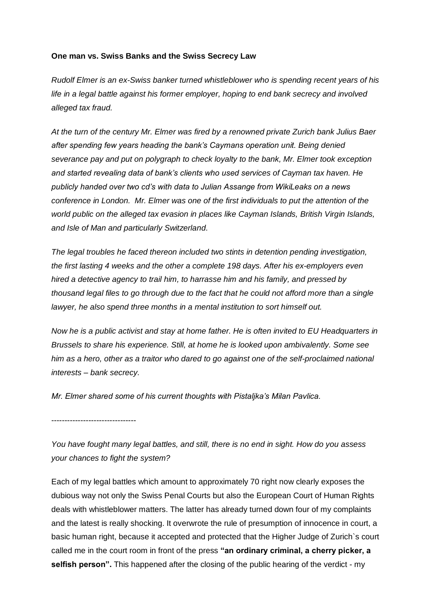## **One man vs. Swiss Banks and the Swiss Secrecy Law**

*Rudolf Elmer is an ex-Swiss banker turned whistleblower who is spending recent years of his life in a legal battle against his former employer, hoping to end bank secrecy and involved alleged tax fraud.* 

*At the turn of the century Mr. Elmer was fired by a renowned private Zurich bank Julius Baer after spending few years heading the bank's Caymans operation unit. Being denied severance pay and put on polygraph to check loyalty to the bank, Mr. Elmer took exception and started revealing data of bank's clients who used services of Cayman tax haven. He publicly handed over two cd's with data to Julian Assange from WikiLeaks on a news conference in London. Mr. Elmer was one of the first individuals to put the attention of the world public on the alleged tax evasion in places like Cayman Islands, British Virgin Islands, and Isle of Man and particularly Switzerland.*

*The legal troubles he faced thereon included two stints in detention pending investigation, the first lasting 4 weeks and the other a complete 198 days. After his ex-employers even hired a detective agency to trail him, to harrasse him and his family, and pressed by thousand legal files to go through due to the fact that he could not afford more than a single lawyer, he also spend three months in a mental institution to sort himself out.*

*Now he is a public activist and stay at home father. He is often invited to EU Headquarters in Brussels to share his experience. Still, at home he is looked upon ambivalently. Some see him as a hero, other as a traitor who dared to go against one of the self-proclaimed national interests – bank secrecy.*

*Mr. Elmer shared some of his current thoughts with Pistaljka's Milan Pavlica.*

--------------------------------

*You have fought many legal battles, and still, there is no end in sight. How do you assess your chances to fight the system?*

Each of my legal battles which amount to approximately 70 right now clearly exposes the dubious way not only the Swiss Penal Courts but also the European Court of Human Rights deals with whistleblower matters. The latter has already turned down four of my complaints and the latest is really shocking. It overwrote the rule of presumption of innocence in court, a basic human right, because it accepted and protected that the Higher Judge of Zurich`s court called me in the court room in front of the press **"an ordinary criminal, a cherry picker, a selfish person".** This happened after the closing of the public hearing of the verdict - my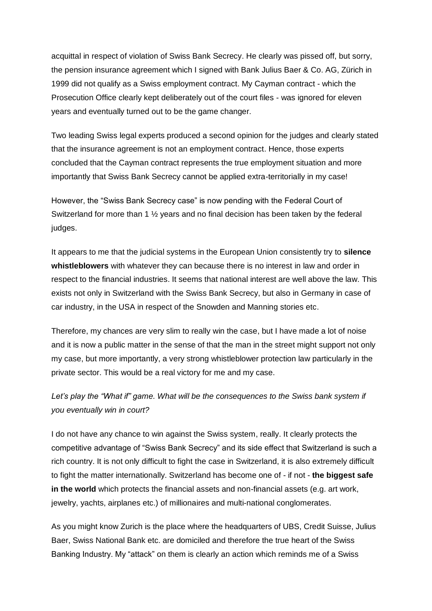acquittal in respect of violation of Swiss Bank Secrecy. He clearly was pissed off, but sorry, the pension insurance agreement which I signed with Bank Julius Baer & Co. AG, Zürich in 1999 did not qualify as a Swiss employment contract. My Cayman contract - which the Prosecution Office clearly kept deliberately out of the court files - was ignored for eleven years and eventually turned out to be the game changer.

Two leading Swiss legal experts produced a second opinion for the judges and clearly stated that the insurance agreement is not an employment contract. Hence, those experts concluded that the Cayman contract represents the true employment situation and more importantly that Swiss Bank Secrecy cannot be applied extra-territorially in my case!

However, the "Swiss Bank Secrecy case" is now pending with the Federal Court of Switzerland for more than 1  $\frac{1}{2}$  years and no final decision has been taken by the federal judges.

It appears to me that the judicial systems in the European Union consistently try to **silence whistleblowers** with whatever they can because there is no interest in law and order in respect to the financial industries. It seems that national interest are well above the law. This exists not only in Switzerland with the Swiss Bank Secrecy, but also in Germany in case of car industry, in the USA in respect of the Snowden and Manning stories etc.

Therefore, my chances are very slim to really win the case, but I have made a lot of noise and it is now a public matter in the sense of that the man in the street might support not only my case, but more importantly, a very strong whistleblower protection law particularly in the private sector. This would be a real victory for me and my case.

## Let's play the "What if" game. What will be the consequences to the Swiss bank system if *you eventually win in court?*

I do not have any chance to win against the Swiss system, really. It clearly protects the competitive advantage of "Swiss Bank Secrecy" and its side effect that Switzerland is such a rich country. It is not only difficult to fight the case in Switzerland, it is also extremely difficult to fight the matter internationally. Switzerland has become one of - if not - **the biggest safe in the world** which protects the financial assets and non-financial assets (e.g. art work, jewelry, yachts, airplanes etc.) of millionaires and multi-national conglomerates.

As you might know Zurich is the place where the headquarters of UBS, Credit Suisse, Julius Baer, Swiss National Bank etc. are domiciled and therefore the true heart of the Swiss Banking Industry. My "attack" on them is clearly an action which reminds me of a Swiss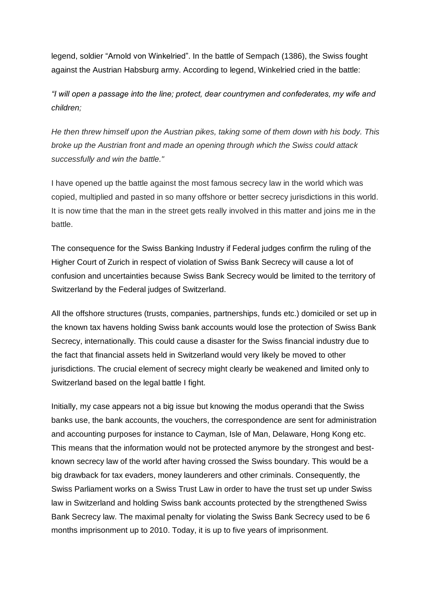legend, soldier "Arnold von Winkelried". In the battle of Sempach (1386), the Swiss fought against the Austrian Habsburg army. According to legend, Winkelried cried in the battle:

*"I will open a passage into the line; protect, dear countrymen and confederates, my wife and children;* 

*He then threw himself upon the Austrian pikes, taking some of them down with his body. This broke up the Austrian front and made an opening through which the Swiss could attack successfully and win the battle."*

I have opened up the battle against the most famous secrecy law in the world which was copied, multiplied and pasted in so many offshore or better secrecy jurisdictions in this world. It is now time that the man in the street gets really involved in this matter and joins me in the battle.

The consequence for the Swiss Banking Industry if Federal judges confirm the ruling of the Higher Court of Zurich in respect of violation of Swiss Bank Secrecy will cause a lot of confusion and uncertainties because Swiss Bank Secrecy would be limited to the territory of Switzerland by the Federal judges of Switzerland.

All the offshore structures (trusts, companies, partnerships, funds etc.) domiciled or set up in the known tax havens holding Swiss bank accounts would lose the protection of Swiss Bank Secrecy, internationally. This could cause a disaster for the Swiss financial industry due to the fact that financial assets held in Switzerland would very likely be moved to other jurisdictions. The crucial element of secrecy might clearly be weakened and limited only to Switzerland based on the legal battle I fight.

Initially, my case appears not a big issue but knowing the modus operandi that the Swiss banks use, the bank accounts, the vouchers, the correspondence are sent for administration and accounting purposes for instance to Cayman, Isle of Man, Delaware, Hong Kong etc. This means that the information would not be protected anymore by the strongest and bestknown secrecy law of the world after having crossed the Swiss boundary. This would be a big drawback for tax evaders, money launderers and other criminals. Consequently, the Swiss Parliament works on a Swiss Trust Law in order to have the trust set up under Swiss law in Switzerland and holding Swiss bank accounts protected by the strengthened Swiss Bank Secrecy law. The maximal penalty for violating the Swiss Bank Secrecy used to be 6 months imprisonment up to 2010. Today, it is up to five years of imprisonment.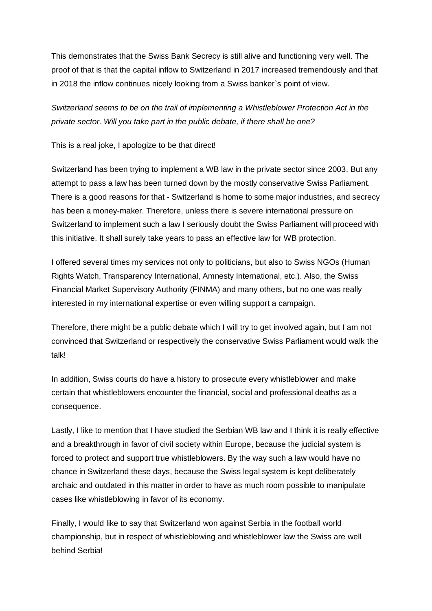This demonstrates that the Swiss Bank Secrecy is still alive and functioning very well. The proof of that is that the capital inflow to Switzerland in 2017 increased tremendously and that in 2018 the inflow continues nicely looking from a Swiss banker`s point of view.

*Switzerland seems to be on the trail of implementing a Whistleblower Protection Act in the private sector. Will you take part in the public debate, if there shall be one?*

This is a real joke, I apologize to be that direct!

Switzerland has been trying to implement a WB law in the private sector since 2003. But any attempt to pass a law has been turned down by the mostly conservative Swiss Parliament. There is a good reasons for that - Switzerland is home to some major industries, and secrecy has been a money-maker. Therefore, unless there is severe international pressure on Switzerland to implement such a law I seriously doubt the Swiss Parliament will proceed with this initiative. It shall surely take years to pass an effective law for WB protection.

I offered several times my services not only to politicians, but also to Swiss NGOs (Human Rights Watch, Transparency International, Amnesty International, etc.). Also, the Swiss Financial Market Supervisory Authority (FINMA) and many others, but no one was really interested in my international expertise or even willing support a campaign.

Therefore, there might be a public debate which I will try to get involved again, but I am not convinced that Switzerland or respectively the conservative Swiss Parliament would walk the talk!

In addition, Swiss courts do have a history to prosecute every whistleblower and make certain that whistleblowers encounter the financial, social and professional deaths as a consequence.

Lastly, I like to mention that I have studied the Serbian WB law and I think it is really effective and a breakthrough in favor of civil society within Europe, because the judicial system is forced to protect and support true whistleblowers. By the way such a law would have no chance in Switzerland these days, because the Swiss legal system is kept deliberately archaic and outdated in this matter in order to have as much room possible to manipulate cases like whistleblowing in favor of its economy.

Finally, I would like to say that Switzerland won against Serbia in the football world championship, but in respect of whistleblowing and whistleblower law the Swiss are well behind Serbia!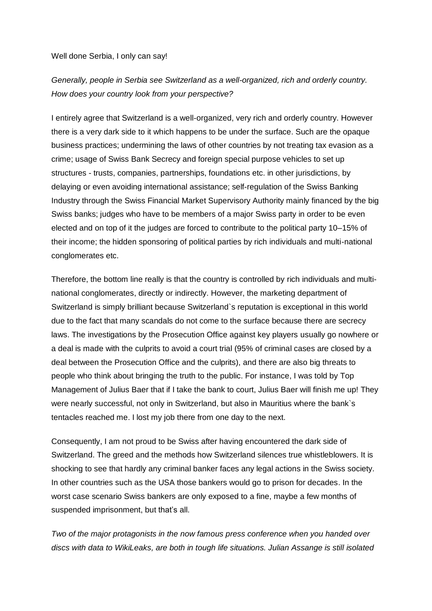Well done Serbia, I only can say!

## *Generally, people in Serbia see Switzerland as a well-organized, rich and orderly country. How does your country look from your perspective?*

I entirely agree that Switzerland is a well-organized, very rich and orderly country. However there is a very dark side to it which happens to be under the surface. Such are the opaque business practices; undermining the laws of other countries by not treating tax evasion as a crime; usage of Swiss Bank Secrecy and foreign special purpose vehicles to set up structures - trusts, companies, partnerships, foundations etc. in other jurisdictions, by delaying or even avoiding international assistance; self-regulation of the Swiss Banking Industry through the Swiss Financial Market Supervisory Authority mainly financed by the big Swiss banks; judges who have to be members of a major Swiss party in order to be even elected and on top of it the judges are forced to contribute to the political party 10–15% of their income; the hidden sponsoring of political parties by rich individuals and multi-national conglomerates etc.

Therefore, the bottom line really is that the country is controlled by rich individuals and multinational conglomerates, directly or indirectly. However, the marketing department of Switzerland is simply brilliant because Switzerland`s reputation is exceptional in this world due to the fact that many scandals do not come to the surface because there are secrecy laws. The investigations by the Prosecution Office against key players usually go nowhere or a deal is made with the culprits to avoid a court trial (95% of criminal cases are closed by a deal between the Prosecution Office and the culprits), and there are also big threats to people who think about bringing the truth to the public. For instance, I was told by Top Management of Julius Baer that if I take the bank to court, Julius Baer will finish me up! They were nearly successful, not only in Switzerland, but also in Mauritius where the bank`s tentacles reached me. I lost my job there from one day to the next.

Consequently, I am not proud to be Swiss after having encountered the dark side of Switzerland. The greed and the methods how Switzerland silences true whistleblowers. It is shocking to see that hardly any criminal banker faces any legal actions in the Swiss society. In other countries such as the USA those bankers would go to prison for decades. In the worst case scenario Swiss bankers are only exposed to a fine, maybe a few months of suspended imprisonment, but that's all.

*Two of the major protagonists in the now famous press conference when you handed over discs with data to WikiLeaks, are both in tough life situations. Julian Assange is still isolated*